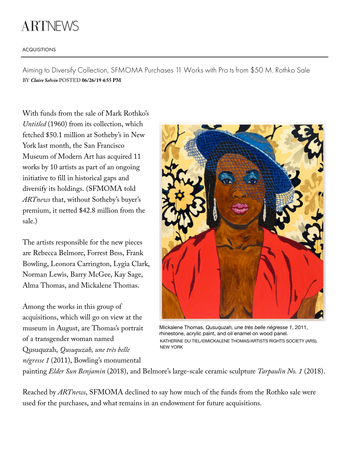## **ARTNEWS**

## ACQUISITIONS

Aiming to Diversify Collection, SFMOMA Purchases 11 Works with Pro ts from \$50 M. Rothko Sale BY *[Claire Selvin](http://www.artnews.com/author/cselvin/)* POSTED **06/26/19 4:55 PM**

With funds from the sale of Mark Rothko's *Untitled* (1960) from its collection, which fetched \$50.1 million at Sotheby's in New York last month, the San Francisco Museum of Modern Art has acquired 11 works by 10 artists as part of an ongoing initiative to fill in historical gaps and diversify its holdings. (SFMOMA told *ARTnews* that, without Sotheby's buyer's premium, it netted \$42.8 million from the sale.)

The artists responsible for the new pieces are Rebecca Belmore, Forrest Bess, Frank Bowling, Leonora Carrington, Lygia Clark, Norman Lewis, Barry McGee, Kay Sage, Alma Thomas, and Mickalene Thomas.

Among the works in this group of acquisitions, which will go on view at the museum in August, are Thomas's portrait of a transgender woman named Qusuquzah, *Qusuquzah, une très belle négresse 1* (2011), Bowling's monumental



Mickalene Thomas, *Qusuquzah, une très belle négresse 1*, 2011, rhinestone, acrylic paint, and oil enamel on wood panel. KATHERINE DU TIEL/©MICKALENE THOMAS/ARTISTS RIGHTS SOCIETY (ARS), NEW YORK

painting *Elder Sun Benjamin* (2018), and Belmore's large-scale ceramic sculpture *Tarpaulin No. 1* (2018).

Reached by *ARTnews*, SFMOMA declined to say how much of the funds from the Rothko sale were used for the purchases, and what remains in an endowment for future acquisitions.